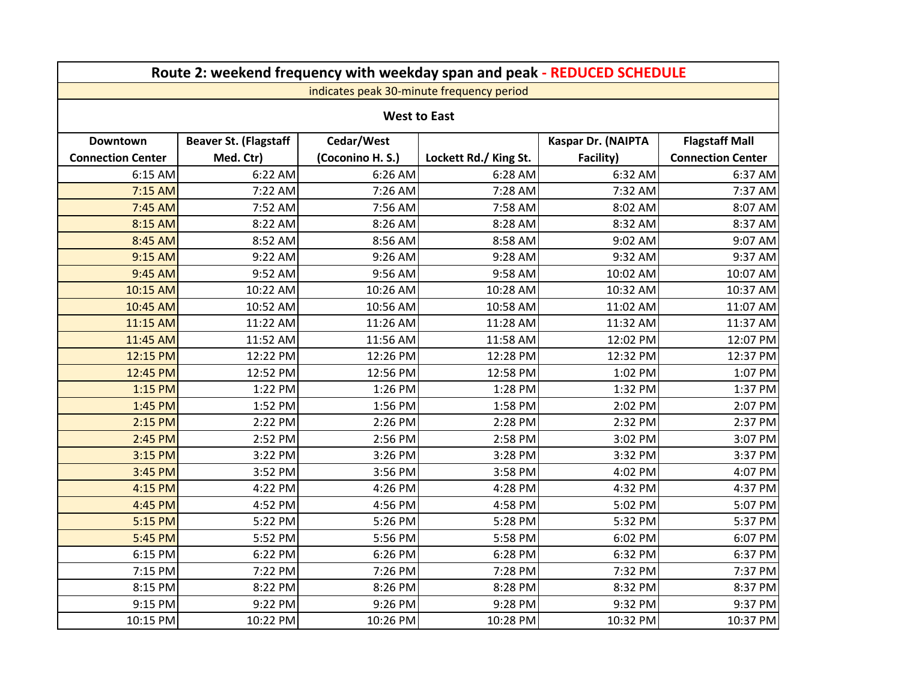| Route 2: weekend frequency with weekday span and peak - REDUCED SCHEDULE |                              |                  |                       |                    |                          |  |  |  |  |
|--------------------------------------------------------------------------|------------------------------|------------------|-----------------------|--------------------|--------------------------|--|--|--|--|
| indicates peak 30-minute frequency period                                |                              |                  |                       |                    |                          |  |  |  |  |
| <b>West to East</b>                                                      |                              |                  |                       |                    |                          |  |  |  |  |
| <b>Downtown</b>                                                          | <b>Beaver St. (Flagstaff</b> | Cedar/West       |                       | Kaspar Dr. (NAIPTA | <b>Flagstaff Mall</b>    |  |  |  |  |
| <b>Connection Center</b>                                                 | Med. Ctr)                    | (Coconino H. S.) | Lockett Rd./ King St. | Facility)          | <b>Connection Center</b> |  |  |  |  |
| 6:15 AM                                                                  | 6:22 AM                      | 6:26 AM          | 6:28 AM               | 6:32 AM            | 6:37 AM                  |  |  |  |  |
| 7:15 AM                                                                  | 7:22 AM                      | 7:26 AM          | 7:28 AM               | 7:32 AM            | 7:37 AM                  |  |  |  |  |
| 7:45 AM                                                                  | 7:52 AM                      | 7:56 AM          | 7:58 AM               | 8:02 AM            | 8:07 AM                  |  |  |  |  |
| 8:15 AM                                                                  | 8:22 AM                      | 8:26 AM          | 8:28 AM               | 8:32 AM            | 8:37 AM                  |  |  |  |  |
| 8:45 AM                                                                  | 8:52 AM                      | 8:56 AM          | 8:58 AM               | 9:02 AM            | 9:07 AM                  |  |  |  |  |
| 9:15 AM                                                                  | 9:22 AM                      | 9:26 AM          | 9:28 AM               | 9:32 AM            | 9:37 AM                  |  |  |  |  |
| 9:45 AM                                                                  | 9:52 AM                      | 9:56 AM          | 9:58 AM               | 10:02 AM           | 10:07 AM                 |  |  |  |  |
| 10:15 AM                                                                 | 10:22 AM                     | 10:26 AM         | 10:28 AM              | 10:32 AM           | 10:37 AM                 |  |  |  |  |
| 10:45 AM                                                                 | 10:52 AM                     | 10:56 AM         | 10:58 AM              | 11:02 AM           | 11:07 AM                 |  |  |  |  |
| 11:15 AM                                                                 | 11:22 AM                     | 11:26 AM         | 11:28 AM              | 11:32 AM           | 11:37 AM                 |  |  |  |  |
| 11:45 AM                                                                 | 11:52 AM                     | 11:56 AM         | 11:58 AM              | 12:02 PM           | 12:07 PM                 |  |  |  |  |
| 12:15 PM                                                                 | 12:22 PM                     | 12:26 PM         | 12:28 PM              | 12:32 PM           | 12:37 PM                 |  |  |  |  |
| 12:45 PM                                                                 | 12:52 PM                     | 12:56 PM         | 12:58 PM              | 1:02 PM            | 1:07 PM                  |  |  |  |  |
| 1:15 PM                                                                  | 1:22 PM                      | 1:26 PM          | 1:28 PM               | 1:32 PM            | 1:37 PM                  |  |  |  |  |
| 1:45 PM                                                                  | 1:52 PM                      | 1:56 PM          | 1:58 PM               | 2:02 PM            | 2:07 PM                  |  |  |  |  |
| 2:15 PM                                                                  | 2:22 PM                      | 2:26 PM          | 2:28 PM               | 2:32 PM            | 2:37 PM                  |  |  |  |  |
| 2:45 PM                                                                  | 2:52 PM                      | 2:56 PM          | 2:58 PM               | 3:02 PM            | 3:07 PM                  |  |  |  |  |
| 3:15 PM                                                                  | 3:22 PM                      | 3:26 PM          | 3:28 PM               | 3:32 PM            | 3:37 PM                  |  |  |  |  |
| 3:45 PM                                                                  | 3:52 PM                      | 3:56 PM          | 3:58 PM               | 4:02 PM            | 4:07 PM                  |  |  |  |  |
| 4:15 PM                                                                  | 4:22 PM                      | 4:26 PM          | 4:28 PM               | 4:32 PM            | 4:37 PM                  |  |  |  |  |
| 4:45 PM                                                                  | 4:52 PM                      | 4:56 PM          | 4:58 PM               | 5:02 PM            | 5:07 PM                  |  |  |  |  |
| 5:15 PM                                                                  | 5:22 PM                      | 5:26 PM          | 5:28 PM               | 5:32 PM            | 5:37 PM                  |  |  |  |  |
| 5:45 PM                                                                  | 5:52 PM                      | 5:56 PM          | 5:58 PM               | 6:02 PM            | 6:07 PM                  |  |  |  |  |
| 6:15 PM                                                                  | 6:22 PM                      | 6:26 PM          | 6:28 PM               | 6:32 PM            | 6:37 PM                  |  |  |  |  |
| 7:15 PM                                                                  | 7:22 PM                      | 7:26 PM          | 7:28 PM               | 7:32 PM            | 7:37 PM                  |  |  |  |  |
| 8:15 PM                                                                  | 8:22 PM                      | 8:26 PM          | 8:28 PM               | 8:32 PM            | 8:37 PM                  |  |  |  |  |
| 9:15 PM                                                                  | 9:22 PM                      | 9:26 PM          | 9:28 PM               | 9:32 PM            | 9:37 PM                  |  |  |  |  |
| 10:15 PM                                                                 | 10:22 PM                     | 10:26 PM         | 10:28 PM              | 10:32 PM           | 10:37 PM                 |  |  |  |  |